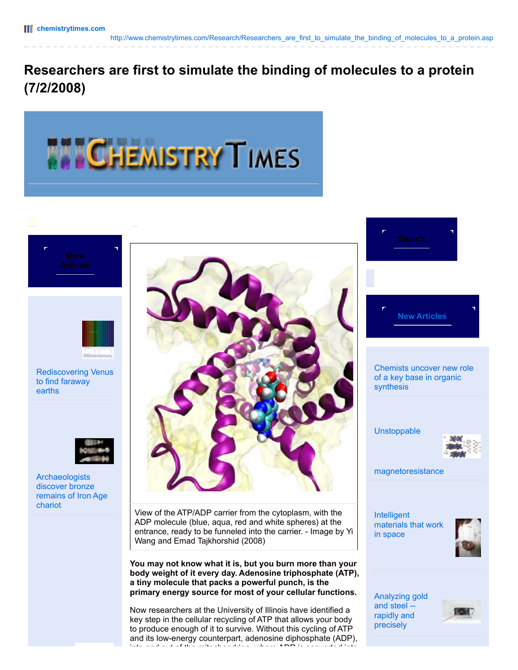## **Researchers are first to simulate the binding of molecules to a protein (7/2/2008)**



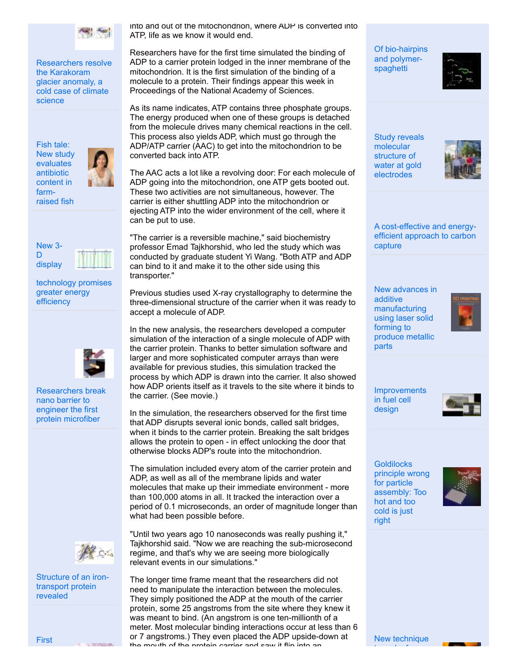

[Researchers](http://www.geologytimes.com/research/Researchers_resolve_the_Karakoram_glacier_anomaly_a_cold_case_of_climate_science.asp) resolve the Karakoram glacier anomaly, a cold case of climate science

Fish tale: New study [evaluates](http://www.agrotimes.com/research/Fish_tale_New_study_evaluates_antibiotic_content_in_farm-raised_fish.asp) antibiotic content in farm-



raised fish



[technology](http://www.electronicsbulletin.com/research/New_3-D_display_technology_promises_greater_energy_efficiency.asp) promises greater energy efficiency



[Researchers](http://www.nanitenews.com/research/Researchers_break_nano_barrier_to_engineer_the_first_protein_microfiber.asp) break nano barrier to engineer the first protein microfiber



[Structure](http://www.proteomicsnews.com/research/Structure_of_an_iron-transport_protein_revealed.asp) of an irontransport protein revealed

into and out of the mitochondrion, where ADP is converted into ATP, life as we know it would end.

Researchers have for the first time simulated the binding of ADP to a carrier protein lodged in the inner membrane of the mitochondrion. It is the first simulation of the binding of a molecule to a protein. Their findings appear this week in Proceedings of the National Academy of Sciences.

As its name indicates, ATP contains three phosphate groups. The energy produced when one of these groups is detached from the molecule drives many chemical reactions in the cell. This process also yields ADP, which must go through the ADP/ATP carrier (AAC) to get into the mitochondrion to be converted back into ATP.

The AAC acts a lot like a revolving door: For each molecule of ADP going into the mitochondrion, one ATP gets booted out. These two activities are not simultaneous, however. The carrier is either shuttling ADP into the mitochondrion or ejecting ATP into the wider environment of the cell, where it can be put to use.

"The carrier is a reversible machine," said biochemistry professor Emad Tajkhorshid, who led the study which was conducted by graduate student Yi Wang. "Both ATP and ADP can bind to it and make it to the other side using this transporter."

Previous studies used X-ray crystallography to determine the three-dimensional structure of the carrier when it was ready to accept a molecule of ADP.

In the new analysis, the researchers developed a computer simulation of the interaction of a single molecule of ADP with the carrier protein. Thanks to better simulation software and larger and more sophisticated computer arrays than were available for previous studies, this simulation tracked the process by which ADP is drawn into the carrier. It also showed how ADP orients itself as it travels to the site where it binds to the carrier. (See movie.)

In the simulation, the researchers observed for the first time that ADP disrupts several ionic bonds, called salt bridges, when it binds to the carrier protein. Breaking the salt bridges allows the protein to open - in effect unlocking the door that otherwise blocks ADP's route into the mitochondrion.

The simulation included every atom of the carrier protein and ADP, as well as all of the membrane lipids and water molecules that make up their immediate environment - more than 100,000 atoms in all. It tracked the interaction over a period of 0.1 microseconds, an order of magnitude longer than what had been possible before.

"Until two years ago 10 nanoseconds was really pushing it," Tajkhorshid said. "Now we are reaching the sub-microsecond regime, and that's why we are seeing more biologically relevant events in our simulations."

The longer time frame meant that the researchers did not need to manipulate the interaction between the molecules. They simply positioned the ADP at the mouth of the carrier protein, some 25 angstroms from the site where they knew it was meant to bind. (An angstrom is one ten-millionth of a meter. Most molecular binding interactions occur at less than 6 or 7 angstroms.) They even placed the ADP upside-down at the mouth of the protein carrier and saw it flip into an

Of [bio-hairpins](http://www.chemistrytimes.com/research/Of_bio-hairpins_and_polymer-spaghetti.asp) and polymerspaghetti



Study reveals molecular structure of water at gold [electrodes](http://www.chemistrytimes.com/research/Study_reveals_molecular_structure_of_water_at_gold_electrodes.asp)



A [cost-effective](http://www.chemistrytimes.com/research/A_cost-effective_and_energy-efficient_approach_to_carbon_capture.asp) and energyefficient approach to carbon capture

New advances in additive [manufacturing](http://www.chemistrytimes.com/research/New_advances_in_additive_manufacturing_using_laser_solid_forming_to_produce_metallic_parts.asp) using laser solid forming to produce metallic parts



[Improvements](http://www.chemistrytimes.com/research/Improvements_in_fuel_cell_design.asp) in fuel cell design



**[Goldilocks](http://www.chemistrytimes.com/research/Goldilocks_principle_wrong_for_particle_assembly_Too_hot_and_too_cold_is_just_right.asp)** principle wrong for particle assembly: Too hot and too cold is just right

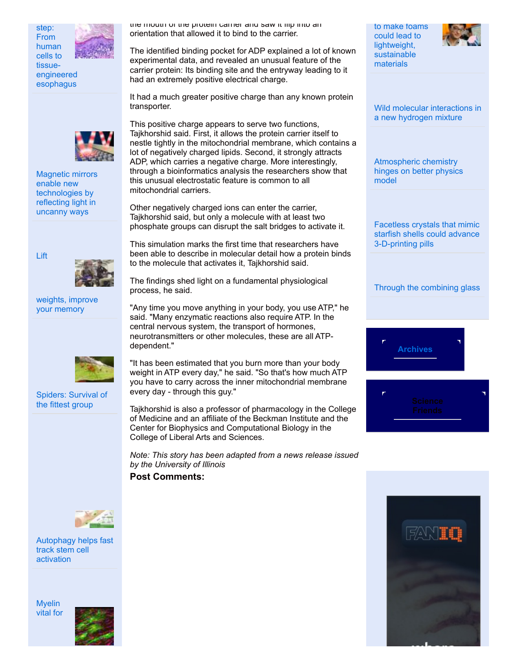

human



step: From



Magnetic mirrors enable new [technologies](http://www.matternews.com/research/Magnetic_mirrors_enable_new_technologies_by_reflecting_light_in_uncanny_ways.asp) by reflecting light in uncanny ways



[weights,](http://www.brainmysteries.com/research/Lift_weights_improve_your_memory.asp) improve your memory



[Spiders:](http://www.wildbiology.com/research/Spiders_Survival_of_the_fittest_group.asp) Survival of the fittest group

the mouth of the protein carrier and saw it flip into an orientation that allowed it to bind to the carrier.

The identified binding pocket for ADP explained a lot of known experimental data, and revealed an unusual feature of the carrier protein: Its binding site and the entryway leading to it had an extremely positive electrical charge.

It had a much greater positive charge than any known protein transporter.

This positive charge appears to serve two functions, Tajkhorshid said. First, it allows the protein carrier itself to nestle tightly in the mitochondrial membrane, which contains a lot of negatively charged lipids. Second, it strongly attracts ADP, which carries a negative charge. More interestingly, through a bioinformatics analysis the researchers show that this unusual electrostatic feature is common to all mitochondrial carriers.

Other negatively charged ions can enter the carrier, Tajkhorshid said, but only a molecule with at least two phosphate groups can disrupt the salt bridges to activate it.

This simulation marks the first time that researchers have been able to describe in molecular detail how a protein binds to the molecule that activates it, Tajkhorshid said.

The findings shed light on a fundamental physiological process, he said.

"Any time you move anything in your body, you use ATP," he said. "Many enzymatic reactions also require ATP. In the central nervous system, the transport of hormones, neurotransmitters or other molecules, these are all ATPdependent."

"It has been estimated that you burn more than your body weight in ATP every day," he said. "So that's how much ATP you have to carry across the inner mitochondrial membrane every day - through this guy."

Tajkhorshid is also a professor of pharmacology in the College of Medicine and an affiliate of the Beckman Institute and the Center for Biophysics and Computational Biology in the College of Liberal Arts and Sciences.

*Note: This story has been adapted from a news release issued by the University of Illinois*

**Post Comments:**



[Autophagy](http://www.microbiologynow.com/research/Autophagy_helps_fast_track_stem_cell_activation.asp) helps fast track stem cell activation

[Myelin](http://www.geographyreport.com/research/Myelin_vital_for_learning_new_practical_skills.asp) vital for



to make foams could lead to lightweight, [sustainable](http://www.chemistrytimes.com/research/New_technique_to_make_foams_could_lead_to_lightweight_sustainable_materials.asp) materials



Wild molecular [interactions](http://www.chemistrytimes.com/research/Wild_molecular_interactions_in_a_new_hydrogen_mixture.asp) in a new hydrogen mixture

[Atmospheric](http://www.chemistrytimes.com/research/Atmospheric_chemistry_hinges_on_better_physics_model.asp) chemistry hinges on better physics model

Facetless crystals that mimic starfish shells could advance [3-D-printing](http://www.chemistrytimes.com/research/Facetless_crystals_that_mimic_starfish_shells_could_advance_3-D-printing_pills.asp) pills

Through the [combining](http://www.chemistrytimes.com/research/Through_the_combining_glass.asp) glass



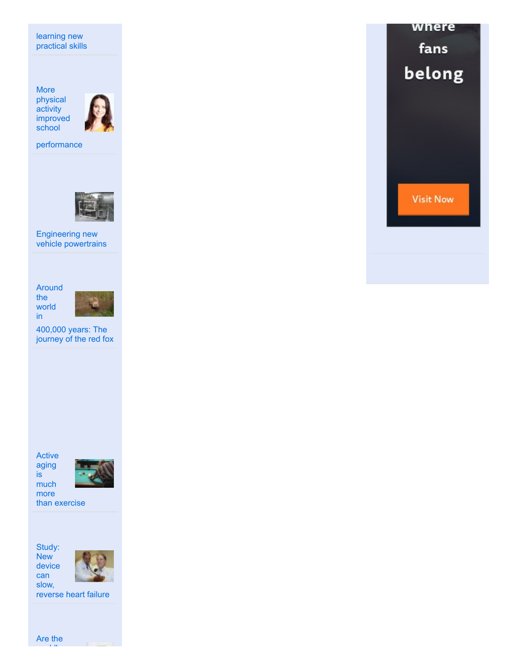learning new practical skills

More physical activity improved school



[performance](http://www.teachersweekly.com/research/More_physical_activity_improved_school_performance.asp)



[Engineering](http://www.manufacturingupdate.com/research/Engineering_new_vehicle_powertrains.asp) new vehicle powertrains

Around the world in



[400,000](http://www.geneticarchaeology.com/research/Around_the_world_in_400000_years_The_journey_of_the_red_fox.asp) years: The journey of the red fox

Active aging is much



more than [exercise](http://www.agingbulletin.com/research/Active_aging_is_much_more_than_exercise.asp)

Study: New device

can



slow, [reverse](http://www.cyberneticsnews.com/research/Study_New_device_can_slow_reverse_heart_failure.asp) heart failure

Are the world's

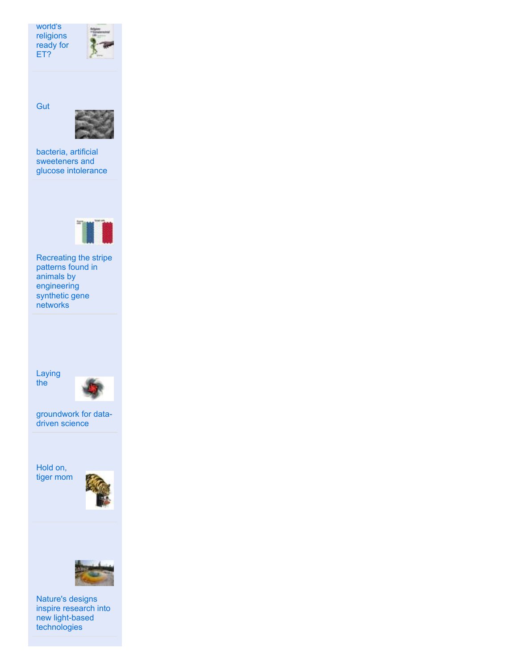world's [religions](http://www.sociologytimes.com/research/Are_the_worlds_religions_ready_for_ET.asp) ready for ET?



**Gut** 



bacteria, artificial [sweeteners](http://www.bodyweekly.com/research/Gut_bacteria_artificial_sweeteners_and_glucose_intolerance.asp) and glucose intolerance



Recreating the stripe patterns found in animals by [engineering](http://www.geneticstimes.com/research/Recreating_the_stripe_patterns_found_in_animals_by_engineering_synthetic_gene_networks.asp) synthetic gene **networks** 

Laying the



[groundwork](http://www.mathbulletin.com/research/Laying_the_groundwork_for_data-driven_science.asp) for datadriven science

Hold on, tiger [mom](http://www.parentingbulletin.com/research/Hold_on_tiger_mom.asp)





Nature's designs inspire research into new light-based [technologies](http://www.biomimicrynews.com/research/Natures_designs_inspire_research_into_new_light-based_technologies.asp)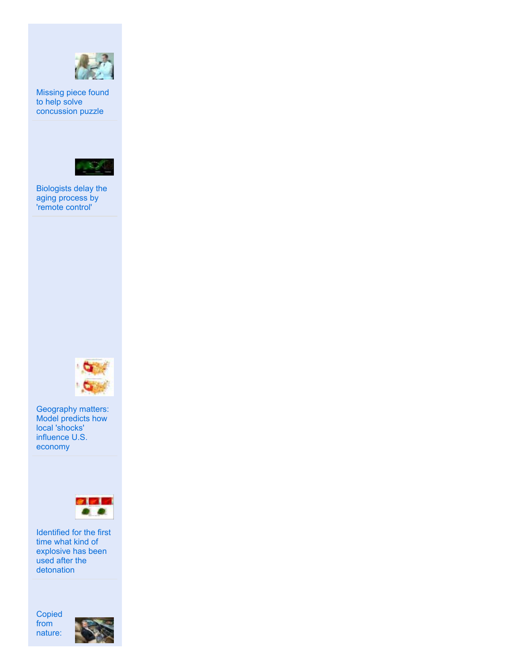

Missing piece found to help solve [concussion](http://www.athleticstherapy.com/research/Missing_piece_found_to_help_solve_concussion_puzzle.asp) puzzle



[Biologists](http://www.curingdeath.com/research/Biologists_delay_the_aging_process_by_remote_control.asp) delay the aging process by 'remote control'



[Geography](http://www.cowboyeconomics.com/research/Geography_matters_Model_predicts_how_local_shocks_influence_U.S._economy.asp) matters: Model predicts how local 'shocks' influence U.S. economy



Identified for the first time what kind of explosive has been used after the [detonation](http://www.forensicsreport.com/research/Identified_for_the_first_time_what_kind_of_explosive_has_been_used_after_the_detonation.asp)

[Copied](http://www.webdoodle.net/Articles/Copied_from_nature_Detecting_software_errors_via_genetic_algorithms.asp) from nature: